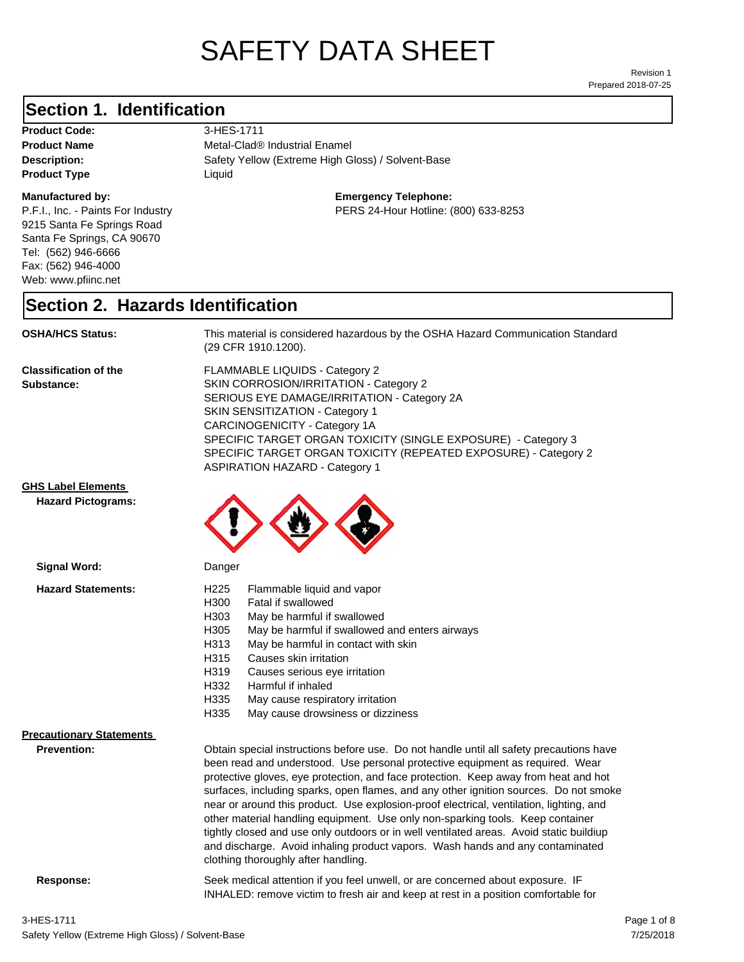# SAFETY DATA SHEET

Prepared 2018-07-25 Revision 1

## **Section 1. Identification**

**Product Code:** 3-HES-1711 **Product Type Liquid Liquid** 

#### **Manufactured by:**

P.F.I., Inc. - Paints For Industry 9215 Santa Fe Springs Road Santa Fe Springs, CA 90670 Tel: (562) 946-6666 Fax: (562) 946-4000 Web: www.pfiinc.net

**Description:** Safety Yellow (Extreme High Gloss) / Solvent-Base **Product Name** Metal-Clad® Industrial Enamel

#### **Emergency Telephone:**

PERS 24-Hour Hotline: (800) 633-8253

#### **Section 2. Hazards Identification**

**OSHA/HCS Status:** This material is considered hazardous by the OSHA Hazard Communication Standard (29 CFR 1910.1200).

**Classification of the Substance:**

FLAMMABLE LIQUIDS - Category 2 SKIN CORROSION/IRRITATION - Category 2 SERIOUS EYE DAMAGE/IRRITATION - Category 2A SKIN SENSITIZATION - Category 1 CARCINOGENICITY - Category 1A SPECIFIC TARGET ORGAN TOXICITY (SINGLE EXPOSURE) - Category 3 SPECIFIC TARGET ORGAN TOXICITY (REPEATED EXPOSURE) - Category 2 ASPIRATION HAZARD - Category 1

INHALED: remove victim to fresh air and keep at rest in a position comfortable for

#### **GHS Label Elements**

**Signal Word:**

**Hazard Pictograms:**



| <b>Hazard Statements:</b>       | H <sub>225</sub><br>Flammable liquid and vapor<br>H300<br>Fatal if swallowed<br>May be harmful if swallowed<br>H303<br>H305<br>May be harmful if swallowed and enters airways<br>H313<br>May be harmful in contact with skin<br>H315<br>Causes skin irritation<br>H319<br>Causes serious eye irritation<br>H332<br>Harmful if inhaled<br>H335<br>May cause respiratory irritation                                                                                                                                                                                                                                                                                                                                                                        |  |
|---------------------------------|----------------------------------------------------------------------------------------------------------------------------------------------------------------------------------------------------------------------------------------------------------------------------------------------------------------------------------------------------------------------------------------------------------------------------------------------------------------------------------------------------------------------------------------------------------------------------------------------------------------------------------------------------------------------------------------------------------------------------------------------------------|--|
|                                 | H335<br>May cause drowsiness or dizziness                                                                                                                                                                                                                                                                                                                                                                                                                                                                                                                                                                                                                                                                                                                |  |
| <b>Precautionary Statements</b> |                                                                                                                                                                                                                                                                                                                                                                                                                                                                                                                                                                                                                                                                                                                                                          |  |
| <b>Prevention:</b>              | Obtain special instructions before use. Do not handle until all safety precautions have<br>been read and understood. Use personal protective equipment as required. Wear<br>protective gloves, eye protection, and face protection. Keep away from heat and hot<br>surfaces, including sparks, open flames, and any other ignition sources. Do not smoke<br>near or around this product. Use explosion-proof electrical, ventilation, lighting, and<br>other material handling equipment. Use only non-sparking tools. Keep container<br>tightly closed and use only outdoors or in well ventilated areas. Avoid static buildiup<br>and discharge. Avoid inhaling product vapors. Wash hands and any contaminated<br>clothing thoroughly after handling. |  |
| Response:                       | Seek medical attention if you feel unwell, or are concerned about exposure. IF                                                                                                                                                                                                                                                                                                                                                                                                                                                                                                                                                                                                                                                                           |  |

Safety Yellow (Extreme High Gloss) / Solvent-Base 3-HES-1711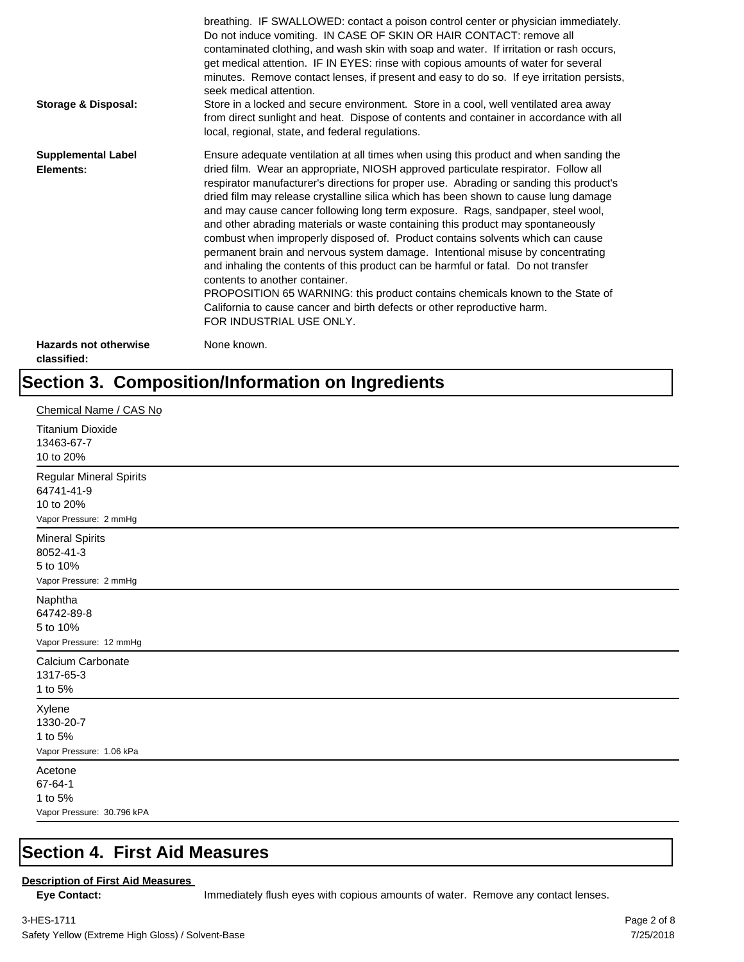| Storage & Disposal:                         | breathing. IF SWALLOWED: contact a poison control center or physician immediately.<br>Do not induce vomiting. IN CASE OF SKIN OR HAIR CONTACT: remove all<br>contaminated clothing, and wash skin with soap and water. If irritation or rash occurs,<br>get medical attention. IF IN EYES: rinse with copious amounts of water for several<br>minutes. Remove contact lenses, if present and easy to do so. If eye irritation persists,<br>seek medical attention.<br>Store in a locked and secure environment. Store in a cool, well ventilated area away<br>from direct sunlight and heat. Dispose of contents and container in accordance with all<br>local, regional, state, and federal regulations.                                                                                                                                                                                                                                                                                                                |
|---------------------------------------------|--------------------------------------------------------------------------------------------------------------------------------------------------------------------------------------------------------------------------------------------------------------------------------------------------------------------------------------------------------------------------------------------------------------------------------------------------------------------------------------------------------------------------------------------------------------------------------------------------------------------------------------------------------------------------------------------------------------------------------------------------------------------------------------------------------------------------------------------------------------------------------------------------------------------------------------------------------------------------------------------------------------------------|
| <b>Supplemental Label</b><br>Elements:      | Ensure adequate ventilation at all times when using this product and when sanding the<br>dried film. Wear an appropriate, NIOSH approved particulate respirator. Follow all<br>respirator manufacturer's directions for proper use. Abrading or sanding this product's<br>dried film may release crystalline silica which has been shown to cause lung damage<br>and may cause cancer following long term exposure. Rags, sandpaper, steel wool,<br>and other abrading materials or waste containing this product may spontaneously<br>combust when improperly disposed of. Product contains solvents which can cause<br>permanent brain and nervous system damage. Intentional misuse by concentrating<br>and inhaling the contents of this product can be harmful or fatal. Do not transfer<br>contents to another container.<br>PROPOSITION 65 WARNING: this product contains chemicals known to the State of<br>California to cause cancer and birth defects or other reproductive harm.<br>FOR INDUSTRIAL USE ONLY. |
| <b>Hazards not otherwise</b><br>classified: | None known.                                                                                                                                                                                                                                                                                                                                                                                                                                                                                                                                                                                                                                                                                                                                                                                                                                                                                                                                                                                                              |

## **Section 3. Composition/Information on Ingredients**

| Chemical Name / CAS No                                                              |
|-------------------------------------------------------------------------------------|
| <b>Titanium Dioxide</b><br>13463-67-7<br>10 to 20%                                  |
| <b>Regular Mineral Spirits</b><br>64741-41-9<br>10 to 20%<br>Vapor Pressure: 2 mmHg |
| <b>Mineral Spirits</b><br>8052-41-3<br>5 to 10%<br>Vapor Pressure: 2 mmHg           |
| Naphtha<br>64742-89-8<br>5 to 10%<br>Vapor Pressure: 12 mmHg                        |
| Calcium Carbonate<br>1317-65-3<br>1 to 5%                                           |
| Xylene<br>1330-20-7<br>1 to 5%<br>Vapor Pressure: 1.06 kPa                          |
| Acetone<br>67-64-1<br>1 to 5%<br>Vapor Pressure: 30.796 kPA                         |

### **Section 4. First Aid Measures**

#### **Description of First Aid Measures**

Eye Contact: **IMMED** Immediately flush eyes with copious amounts of water. Remove any contact lenses.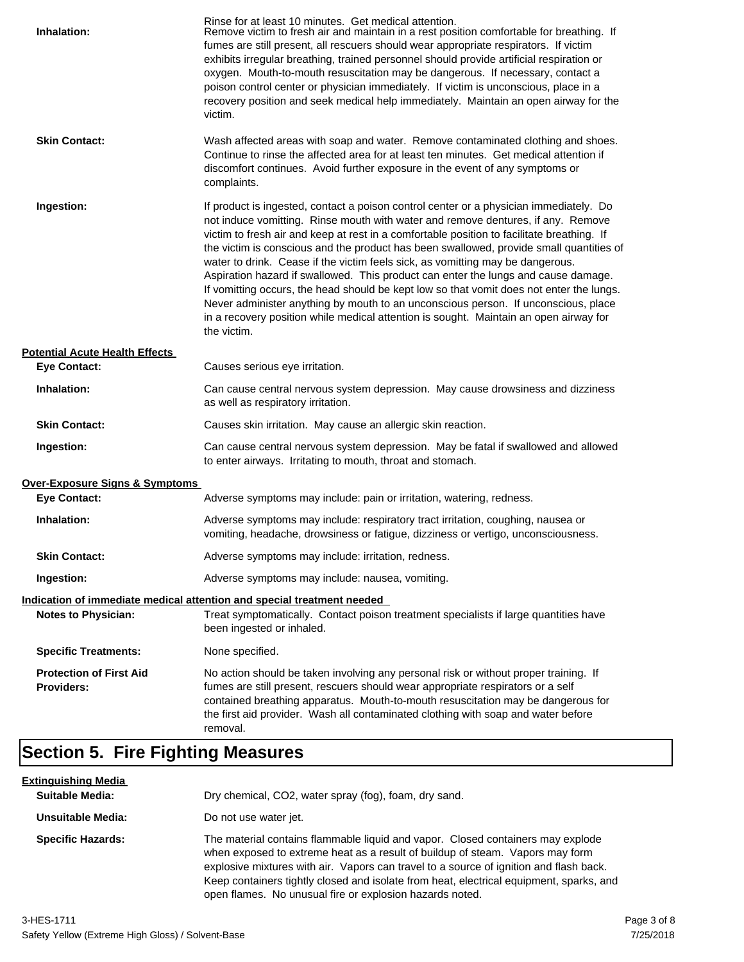| Inhalation:                                         | Rinse for at least 10 minutes. Get medical attention.<br>Remove victim to fresh air and maintain in a rest position comfortable for breathing. If<br>fumes are still present, all rescuers should wear appropriate respirators. If victim<br>exhibits irregular breathing, trained personnel should provide artificial respiration or<br>oxygen. Mouth-to-mouth resuscitation may be dangerous. If necessary, contact a<br>poison control center or physician immediately. If victim is unconscious, place in a<br>recovery position and seek medical help immediately. Maintain an open airway for the<br>victim.                                                                                                                                                                                                                    |
|-----------------------------------------------------|---------------------------------------------------------------------------------------------------------------------------------------------------------------------------------------------------------------------------------------------------------------------------------------------------------------------------------------------------------------------------------------------------------------------------------------------------------------------------------------------------------------------------------------------------------------------------------------------------------------------------------------------------------------------------------------------------------------------------------------------------------------------------------------------------------------------------------------|
| <b>Skin Contact:</b>                                | Wash affected areas with soap and water. Remove contaminated clothing and shoes.<br>Continue to rinse the affected area for at least ten minutes. Get medical attention if<br>discomfort continues. Avoid further exposure in the event of any symptoms or<br>complaints.                                                                                                                                                                                                                                                                                                                                                                                                                                                                                                                                                             |
| Ingestion:                                          | If product is ingested, contact a poison control center or a physician immediately. Do<br>not induce vomitting. Rinse mouth with water and remove dentures, if any. Remove<br>victim to fresh air and keep at rest in a comfortable position to facilitate breathing. If<br>the victim is conscious and the product has been swallowed, provide small quantities of<br>water to drink. Cease if the victim feels sick, as vomitting may be dangerous.<br>Aspiration hazard if swallowed. This product can enter the lungs and cause damage.<br>If vomitting occurs, the head should be kept low so that vomit does not enter the lungs.<br>Never administer anything by mouth to an unconscious person. If unconscious, place<br>in a recovery position while medical attention is sought. Maintain an open airway for<br>the victim. |
| <b>Potential Acute Health Effects</b>               |                                                                                                                                                                                                                                                                                                                                                                                                                                                                                                                                                                                                                                                                                                                                                                                                                                       |
| <b>Eye Contact:</b>                                 | Causes serious eye irritation.                                                                                                                                                                                                                                                                                                                                                                                                                                                                                                                                                                                                                                                                                                                                                                                                        |
| Inhalation:                                         | Can cause central nervous system depression. May cause drowsiness and dizziness<br>as well as respiratory irritation.                                                                                                                                                                                                                                                                                                                                                                                                                                                                                                                                                                                                                                                                                                                 |
| <b>Skin Contact:</b>                                | Causes skin irritation. May cause an allergic skin reaction.                                                                                                                                                                                                                                                                                                                                                                                                                                                                                                                                                                                                                                                                                                                                                                          |
| Ingestion:                                          | Can cause central nervous system depression. May be fatal if swallowed and allowed<br>to enter airways. Irritating to mouth, throat and stomach.                                                                                                                                                                                                                                                                                                                                                                                                                                                                                                                                                                                                                                                                                      |
| <b>Over-Exposure Signs &amp; Symptoms</b>           |                                                                                                                                                                                                                                                                                                                                                                                                                                                                                                                                                                                                                                                                                                                                                                                                                                       |
| <b>Eye Contact:</b>                                 | Adverse symptoms may include: pain or irritation, watering, redness.                                                                                                                                                                                                                                                                                                                                                                                                                                                                                                                                                                                                                                                                                                                                                                  |
| Inhalation:                                         | Adverse symptoms may include: respiratory tract irritation, coughing, nausea or<br>vomiting, headache, drowsiness or fatigue, dizziness or vertigo, unconsciousness.                                                                                                                                                                                                                                                                                                                                                                                                                                                                                                                                                                                                                                                                  |
| <b>Skin Contact:</b>                                | Adverse symptoms may include: irritation, redness.                                                                                                                                                                                                                                                                                                                                                                                                                                                                                                                                                                                                                                                                                                                                                                                    |
| Ingestion:                                          | Adverse symptoms may include: nausea, vomiting.                                                                                                                                                                                                                                                                                                                                                                                                                                                                                                                                                                                                                                                                                                                                                                                       |
|                                                     | Indication of immediate medical attention and special treatment needed                                                                                                                                                                                                                                                                                                                                                                                                                                                                                                                                                                                                                                                                                                                                                                |
| <b>Notes to Physician:</b>                          | Treat symptomatically. Contact poison treatment specialists if large quantities have<br>been ingested or inhaled.                                                                                                                                                                                                                                                                                                                                                                                                                                                                                                                                                                                                                                                                                                                     |
| <b>Specific Treatments:</b>                         | None specified.                                                                                                                                                                                                                                                                                                                                                                                                                                                                                                                                                                                                                                                                                                                                                                                                                       |
| <b>Protection of First Aid</b><br><b>Providers:</b> | No action should be taken involving any personal risk or without proper training. If<br>fumes are still present, rescuers should wear appropriate respirators or a self<br>contained breathing apparatus. Mouth-to-mouth resuscitation may be dangerous for<br>the first aid provider. Wash all contaminated clothing with soap and water before<br>removal.                                                                                                                                                                                                                                                                                                                                                                                                                                                                          |

## **Section 5. Fire Fighting Measures**

| <u>Extinguishing Media</u> |                                                                                                                                                                                                                                                                                                                                                                                                                   |
|----------------------------|-------------------------------------------------------------------------------------------------------------------------------------------------------------------------------------------------------------------------------------------------------------------------------------------------------------------------------------------------------------------------------------------------------------------|
| <b>Suitable Media:</b>     | Dry chemical, CO2, water spray (fog), foam, dry sand.                                                                                                                                                                                                                                                                                                                                                             |
| Unsuitable Media:          | Do not use water jet.                                                                                                                                                                                                                                                                                                                                                                                             |
| <b>Specific Hazards:</b>   | The material contains flammable liquid and vapor. Closed containers may explode<br>when exposed to extreme heat as a result of buildup of steam. Vapors may form<br>explosive mixtures with air. Vapors can travel to a source of ignition and flash back.<br>Keep containers tightly closed and isolate from heat, electrical equipment, sparks, and<br>open flames. No unusual fire or explosion hazards noted. |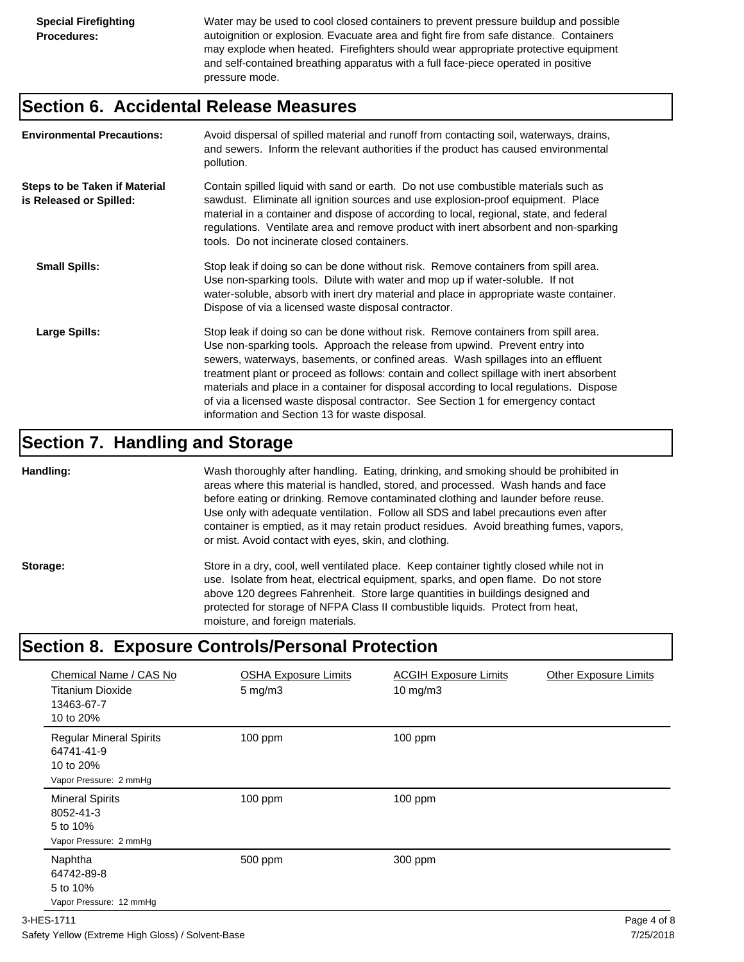Water may be used to cool closed containers to prevent pressure buildup and possible autoignition or explosion. Evacuate area and fight fire from safe distance. Containers may explode when heated. Firefighters should wear appropriate protective equipment and self-contained breathing apparatus with a full face-piece operated in positive pressure mode.

#### **Section 6. Accidental Release Measures**

| <b>Environmental Precautions:</b>                               | Avoid dispersal of spilled material and runoff from contacting soil, waterways, drains,<br>and sewers. Inform the relevant authorities if the product has caused environmental<br>pollution.                                                                                                                                                                                                                                                                                                                                                                                        |
|-----------------------------------------------------------------|-------------------------------------------------------------------------------------------------------------------------------------------------------------------------------------------------------------------------------------------------------------------------------------------------------------------------------------------------------------------------------------------------------------------------------------------------------------------------------------------------------------------------------------------------------------------------------------|
| <b>Steps to be Taken if Material</b><br>is Released or Spilled: | Contain spilled liquid with sand or earth. Do not use combustible materials such as<br>sawdust. Eliminate all ignition sources and use explosion-proof equipment. Place<br>material in a container and dispose of according to local, regional, state, and federal<br>regulations. Ventilate area and remove product with inert absorbent and non-sparking<br>tools. Do not incinerate closed containers.                                                                                                                                                                           |
| <b>Small Spills:</b>                                            | Stop leak if doing so can be done without risk. Remove containers from spill area.<br>Use non-sparking tools. Dilute with water and mop up if water-soluble. If not<br>water-soluble, absorb with inert dry material and place in appropriate waste container.<br>Dispose of via a licensed waste disposal contractor.                                                                                                                                                                                                                                                              |
| Large Spills:                                                   | Stop leak if doing so can be done without risk. Remove containers from spill area.<br>Use non-sparking tools. Approach the release from upwind. Prevent entry into<br>sewers, waterways, basements, or confined areas. Wash spillages into an effluent<br>treatment plant or proceed as follows: contain and collect spillage with inert absorbent<br>materials and place in a container for disposal according to local regulations. Dispose<br>of via a licensed waste disposal contractor. See Section 1 for emergency contact<br>information and Section 13 for waste disposal. |

#### **Section 7. Handling and Storage**

**Handling:** Wash thoroughly after handling. Eating, drinking, and smoking should be prohibited in areas where this material is handled, stored, and processed. Wash hands and face before eating or drinking. Remove contaminated clothing and launder before reuse. Use only with adequate ventilation. Follow all SDS and label precautions even after container is emptied, as it may retain product residues. Avoid breathing fumes, vapors, or mist. Avoid contact with eyes, skin, and clothing.

Storage: Store in a dry, cool, well ventilated place. Keep container tightly closed while not in use. Isolate from heat, electrical equipment, sparks, and open flame. Do not store above 120 degrees Fahrenheit. Store large quantities in buildings designed and protected for storage of NFPA Class II combustible liquids. Protect from heat, moisture, and foreign materials.

## **Section 8. Exposure Controls/Personal Protection**

| Chemical Name / CAS No<br><b>Titanium Dioxide</b><br>13463-67-7<br>10 to 20%        | <b>OSHA Exposure Limits</b><br>$5 \text{ mg/m}$ 3 | <b>ACGIH Exposure Limits</b><br>$10 \text{ mg/m}$ | <b>Other Exposure Limits</b> |
|-------------------------------------------------------------------------------------|---------------------------------------------------|---------------------------------------------------|------------------------------|
| <b>Regular Mineral Spirits</b><br>64741-41-9<br>10 to 20%<br>Vapor Pressure: 2 mmHg | $100$ ppm                                         | $100$ ppm                                         |                              |
| <b>Mineral Spirits</b><br>8052-41-3<br>5 to 10%<br>Vapor Pressure: 2 mmHg           | 100 ppm                                           | 100 ppm                                           |                              |
| Naphtha<br>64742-89-8<br>5 to 10%<br>Vapor Pressure: 12 mmHg                        | 500 ppm                                           | 300 ppm                                           |                              |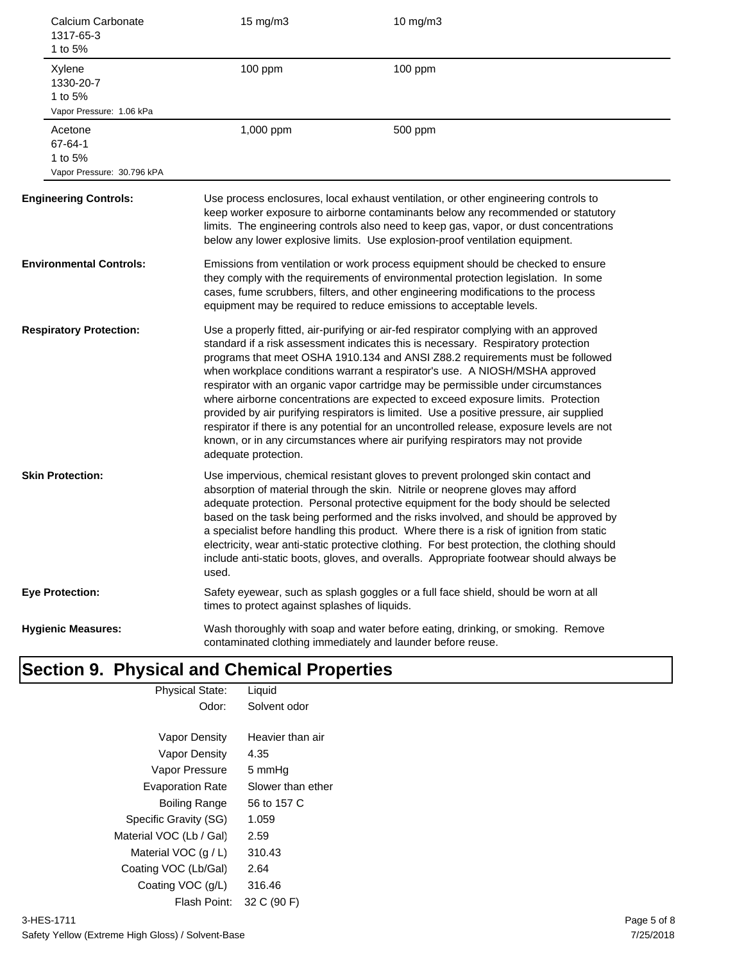| Calcium Carbonate<br>1317-65-3<br>1 to 5%                   | 15 mg/m3                                      | 10 mg/m3                                                                                                                                                                                                                                                                                                                                                                                                                                                                                                                                                                                                                                                                                                                                                                                      |
|-------------------------------------------------------------|-----------------------------------------------|-----------------------------------------------------------------------------------------------------------------------------------------------------------------------------------------------------------------------------------------------------------------------------------------------------------------------------------------------------------------------------------------------------------------------------------------------------------------------------------------------------------------------------------------------------------------------------------------------------------------------------------------------------------------------------------------------------------------------------------------------------------------------------------------------|
| Xylene<br>1330-20-7<br>1 to 5%<br>Vapor Pressure: 1.06 kPa  | 100 ppm                                       | 100 ppm                                                                                                                                                                                                                                                                                                                                                                                                                                                                                                                                                                                                                                                                                                                                                                                       |
| Acetone<br>67-64-1<br>1 to 5%<br>Vapor Pressure: 30.796 kPA | 1,000 ppm                                     | 500 ppm                                                                                                                                                                                                                                                                                                                                                                                                                                                                                                                                                                                                                                                                                                                                                                                       |
| <b>Engineering Controls:</b>                                |                                               | Use process enclosures, local exhaust ventilation, or other engineering controls to<br>keep worker exposure to airborne contaminants below any recommended or statutory<br>limits. The engineering controls also need to keep gas, vapor, or dust concentrations<br>below any lower explosive limits. Use explosion-proof ventilation equipment.                                                                                                                                                                                                                                                                                                                                                                                                                                              |
| <b>Environmental Controls:</b>                              |                                               | Emissions from ventilation or work process equipment should be checked to ensure<br>they comply with the requirements of environmental protection legislation. In some<br>cases, fume scrubbers, filters, and other engineering modifications to the process<br>equipment may be required to reduce emissions to acceptable levels.                                                                                                                                                                                                                                                                                                                                                                                                                                                           |
| <b>Respiratory Protection:</b>                              | adequate protection.                          | Use a properly fitted, air-purifying or air-fed respirator complying with an approved<br>standard if a risk assessment indicates this is necessary. Respiratory protection<br>programs that meet OSHA 1910.134 and ANSI Z88.2 requirements must be followed<br>when workplace conditions warrant a respirator's use. A NIOSH/MSHA approved<br>respirator with an organic vapor cartridge may be permissible under circumstances<br>where airborne concentrations are expected to exceed exposure limits. Protection<br>provided by air purifying respirators is limited. Use a positive pressure, air supplied<br>respirator if there is any potential for an uncontrolled release, exposure levels are not<br>known, or in any circumstances where air purifying respirators may not provide |
| <b>Skin Protection:</b>                                     | used.                                         | Use impervious, chemical resistant gloves to prevent prolonged skin contact and<br>absorption of material through the skin. Nitrile or neoprene gloves may afford<br>adequate protection. Personal protective equipment for the body should be selected<br>based on the task being performed and the risks involved, and should be approved by<br>a specialist before handling this product. Where there is a risk of ignition from static<br>electricity, wear anti-static protective clothing. For best protection, the clothing should<br>include anti-static boots, gloves, and overalls. Appropriate footwear should always be                                                                                                                                                           |
| <b>Eye Protection:</b>                                      | times to protect against splashes of liquids. | Safety eyewear, such as splash goggles or a full face shield, should be worn at all                                                                                                                                                                                                                                                                                                                                                                                                                                                                                                                                                                                                                                                                                                           |
| <b>Hygienic Measures:</b>                                   |                                               | Wash thoroughly with soap and water before eating, drinking, or smoking. Remove<br>contaminated clothing immediately and launder before reuse.                                                                                                                                                                                                                                                                                                                                                                                                                                                                                                                                                                                                                                                |

#### **Section 9. Physical and Chemical Properties** Physical State: Liquid

| Odor:                   | Solvent odor      |
|-------------------------|-------------------|
|                         |                   |
| Vapor Density           | Heavier than air  |
| Vapor Density           | 4.35              |
| Vapor Pressure          | 5 mmHq            |
| <b>Evaporation Rate</b> | Slower than ether |
| Boiling Range           | 56 to 157 C       |
| Specific Gravity (SG)   | 1.059             |
| Material VOC (Lb / Gal) | 2.59              |
| Material VOC $(q/L)$    | 310.43            |
| Coating VOC (Lb/Gal)    | 2.64              |
| Coating VOC (g/L)       | 316.46            |
| Flash Point:            | 32 C (90 F)       |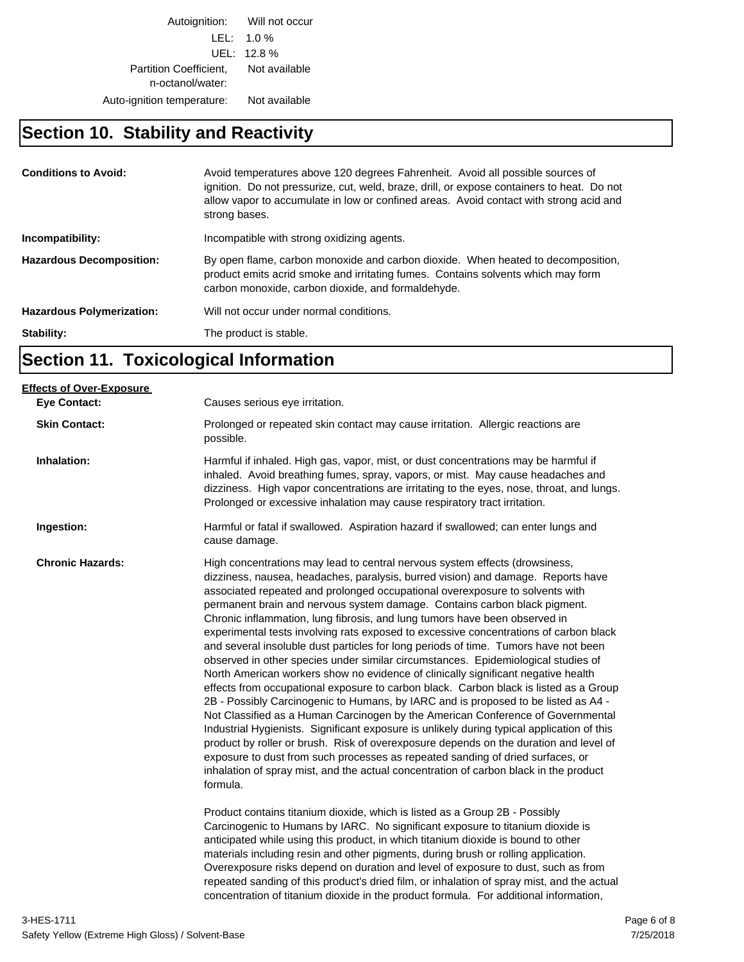Autoignition: Will not occur LEL: 1.0 % UEL: 12.8 % Partition Coefficient, Not available n-octanol/water: Auto-ignition temperature: Not available

### **Section 10. Stability and Reactivity**

| <b>Conditions to Avoid:</b>      | Avoid temperatures above 120 degrees Fahrenheit. Avoid all possible sources of<br>ignition. Do not pressurize, cut, weld, braze, drill, or expose containers to heat. Do not<br>allow vapor to accumulate in low or confined areas. Avoid contact with strong acid and<br>strong bases. |
|----------------------------------|-----------------------------------------------------------------------------------------------------------------------------------------------------------------------------------------------------------------------------------------------------------------------------------------|
| Incompatibility:                 | Incompatible with strong oxidizing agents.                                                                                                                                                                                                                                              |
| <b>Hazardous Decomposition:</b>  | By open flame, carbon monoxide and carbon dioxide. When heated to decomposition,<br>product emits acrid smoke and irritating fumes. Contains solvents which may form<br>carbon monoxide, carbon dioxide, and formaldehyde.                                                              |
| <b>Hazardous Polymerization:</b> | Will not occur under normal conditions.                                                                                                                                                                                                                                                 |
| Stability:                       | The product is stable.                                                                                                                                                                                                                                                                  |

## **Section 11. Toxicological Information**

| <b>Effects of Over-Exposure</b><br><b>Eye Contact:</b> | Causes serious eye irritation.                                                                                                                                                                                                                                                                                                                                                                                                                                                                                                                                                                                                                                                                                                                                                                                                                                                                                                                                                                                                                                                                                                                                                                                                                                                                                                                                                                                                                                                                                                                                                        |
|--------------------------------------------------------|---------------------------------------------------------------------------------------------------------------------------------------------------------------------------------------------------------------------------------------------------------------------------------------------------------------------------------------------------------------------------------------------------------------------------------------------------------------------------------------------------------------------------------------------------------------------------------------------------------------------------------------------------------------------------------------------------------------------------------------------------------------------------------------------------------------------------------------------------------------------------------------------------------------------------------------------------------------------------------------------------------------------------------------------------------------------------------------------------------------------------------------------------------------------------------------------------------------------------------------------------------------------------------------------------------------------------------------------------------------------------------------------------------------------------------------------------------------------------------------------------------------------------------------------------------------------------------------|
| <b>Skin Contact:</b>                                   | Prolonged or repeated skin contact may cause irritation. Allergic reactions are<br>possible.                                                                                                                                                                                                                                                                                                                                                                                                                                                                                                                                                                                                                                                                                                                                                                                                                                                                                                                                                                                                                                                                                                                                                                                                                                                                                                                                                                                                                                                                                          |
| Inhalation:                                            | Harmful if inhaled. High gas, vapor, mist, or dust concentrations may be harmful if<br>inhaled. Avoid breathing fumes, spray, vapors, or mist. May cause headaches and<br>dizziness. High vapor concentrations are irritating to the eyes, nose, throat, and lungs.<br>Prolonged or excessive inhalation may cause respiratory tract irritation.                                                                                                                                                                                                                                                                                                                                                                                                                                                                                                                                                                                                                                                                                                                                                                                                                                                                                                                                                                                                                                                                                                                                                                                                                                      |
| Ingestion:                                             | Harmful or fatal if swallowed. Aspiration hazard if swallowed; can enter lungs and<br>cause damage.                                                                                                                                                                                                                                                                                                                                                                                                                                                                                                                                                                                                                                                                                                                                                                                                                                                                                                                                                                                                                                                                                                                                                                                                                                                                                                                                                                                                                                                                                   |
| <b>Chronic Hazards:</b>                                | High concentrations may lead to central nervous system effects (drowsiness,<br>dizziness, nausea, headaches, paralysis, burred vision) and damage. Reports have<br>associated repeated and prolonged occupational overexposure to solvents with<br>permanent brain and nervous system damage. Contains carbon black pigment.<br>Chronic inflammation, lung fibrosis, and lung tumors have been observed in<br>experimental tests involving rats exposed to excessive concentrations of carbon black<br>and several insoluble dust particles for long periods of time. Tumors have not been<br>observed in other species under similar circumstances. Epidemiological studies of<br>North American workers show no evidence of clinically significant negative health<br>effects from occupational exposure to carbon black. Carbon black is listed as a Group<br>2B - Possibly Carcinogenic to Humans, by IARC and is proposed to be listed as A4 -<br>Not Classified as a Human Carcinogen by the American Conference of Governmental<br>Industrial Hygienists. Significant exposure is unlikely during typical application of this<br>product by roller or brush. Risk of overexposure depends on the duration and level of<br>exposure to dust from such processes as repeated sanding of dried surfaces, or<br>inhalation of spray mist, and the actual concentration of carbon black in the product<br>formula.<br>Product contains titanium dioxide, which is listed as a Group 2B - Possibly<br>Carcinogenic to Humans by IARC. No significant exposure to titanium dioxide is |
|                                                        | anticipated while using this product, in which titanium dioxide is bound to other<br>materials including resin and other pigments, during brush or rolling application.<br>Overexposure risks depend on duration and level of exposure to dust, such as from<br>repeated sanding of this product's dried film, or inhalation of spray mist, and the actual<br>concentration of titanium dioxide in the product formula. For additional information,                                                                                                                                                                                                                                                                                                                                                                                                                                                                                                                                                                                                                                                                                                                                                                                                                                                                                                                                                                                                                                                                                                                                   |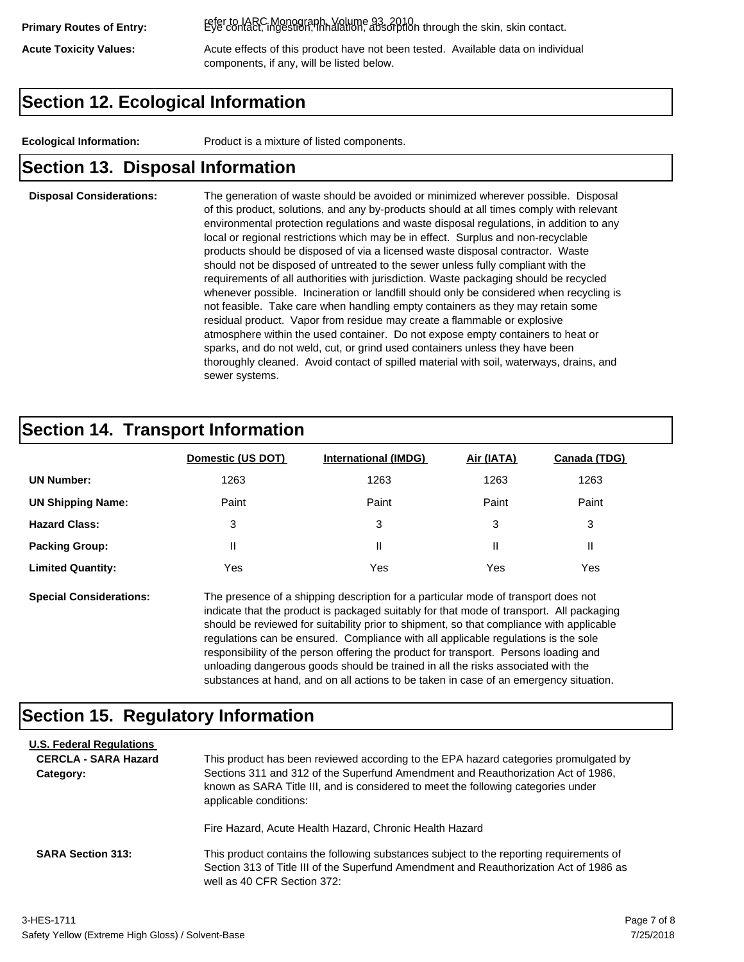refer to IARC Monograph, Volume 93, 2010. **Primary Routes of Entry:** Eye contact, ingestion, inhalation, absorption through the skin, skin contact.

Acute Toxicity Values: **Acute effects of this product have not been tested.** Available data on individual components, if any, will be listed below.

## **Section 12. Ecological Information**

**Ecological Information:** Product is a mixture of listed components.

#### **Section 13. Disposal Information**

#### **Disposal Considerations:** The generation of waste should be avoided or minimized wherever possible. Disposal of this product, solutions, and any by-products should at all times comply with relevant environmental protection regulations and waste disposal regulations, in addition to any local or regional restrictions which may be in effect. Surplus and non-recyclable products should be disposed of via a licensed waste disposal contractor. Waste should not be disposed of untreated to the sewer unless fully compliant with the requirements of all authorities with jurisdiction. Waste packaging should be recycled whenever possible. Incineration or landfill should only be considered when recycling is not feasible. Take care when handling empty containers as they may retain some residual product. Vapor from residue may create a flammable or explosive atmosphere within the used container. Do not expose empty containers to heat or sparks, and do not weld, cut, or grind used containers unless they have been thoroughly cleaned. Avoid contact of spilled material with soil, waterways, drains, and sewer systems.

## **Section 14. Transport Information**

|                          | Domestic (US DOT) | <b>International (IMDG)</b> | Air (IATA) | <b>Canada (TDG)</b> |
|--------------------------|-------------------|-----------------------------|------------|---------------------|
| <b>UN Number:</b>        | 1263              | 1263                        | 1263       | 1263                |
| <b>UN Shipping Name:</b> | Paint             | Paint                       | Paint      | Paint               |
| <b>Hazard Class:</b>     | 3                 | 3                           | 3          | 3                   |
| <b>Packing Group:</b>    | Ш                 | Ш                           |            |                     |
| <b>Limited Quantity:</b> | Yes               | Yes                         | Yes        | Yes                 |

**Special Considerations:** The presence of a shipping description for a particular mode of transport does not indicate that the product is packaged suitably for that mode of transport. All packaging should be reviewed for suitability prior to shipment, so that compliance with applicable regulations can be ensured. Compliance with all applicable regulations is the sole responsibility of the person offering the product for transport. Persons loading and unloading dangerous goods should be trained in all the risks associated with the substances at hand, and on all actions to be taken in case of an emergency situation.

#### **Section 15. Regulatory Information**

| <b>U.S. Federal Regulations</b> |                                                                                                                                                                                                                                                            |
|---------------------------------|------------------------------------------------------------------------------------------------------------------------------------------------------------------------------------------------------------------------------------------------------------|
| <b>CERCLA - SARA Hazard</b>     | This product has been reviewed according to the EPA hazard categories promulgated by                                                                                                                                                                       |
| Category:                       | Sections 311 and 312 of the Superfund Amendment and Reauthorization Act of 1986,<br>known as SARA Title III, and is considered to meet the following categories under<br>applicable conditions:<br>Fire Hazard, Acute Health Hazard, Chronic Health Hazard |
| <b>SARA Section 313:</b>        | This product contains the following substances subject to the reporting requirements of<br>Section 313 of Title III of the Superfund Amendment and Reauthorization Act of 1986 as<br>well as 40 CFR Section 372:                                           |